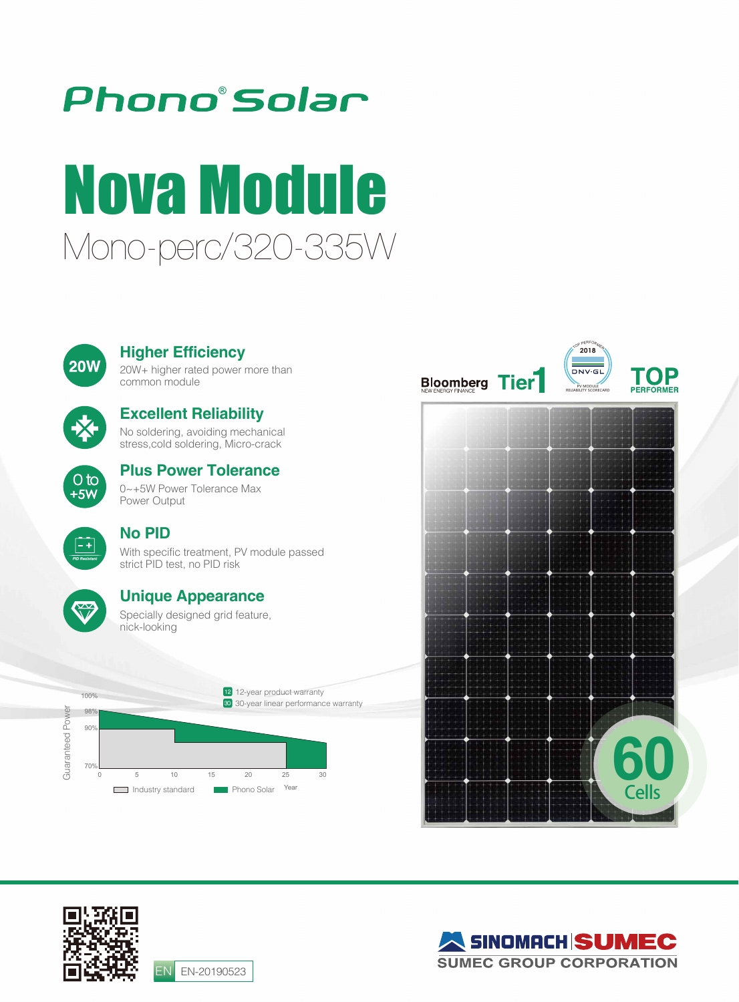# Phono°Solar

# Mono-perc/320-335W Nova Module



#### **Higher Efficiency**

20W+ higher rated power more than common module



### **Excellent Reliability**

No soldering, avoiding mechanical stress,cold soldering, Micro-crack



## **Plus Power Tolerance**

0~+5W Power Tolerance Max Power Output



#### **No PID**

With specific treatment, PV module passed strict PID test, no PID risk



#### **Unique Appearance**

Specially designed grid feature, nick-looking